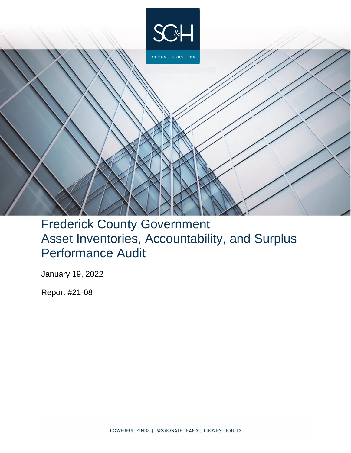

# Frederick County Government Asset Inventories, Accountability, and Surplus Performance Audit

January 19, 2022

Report #21-08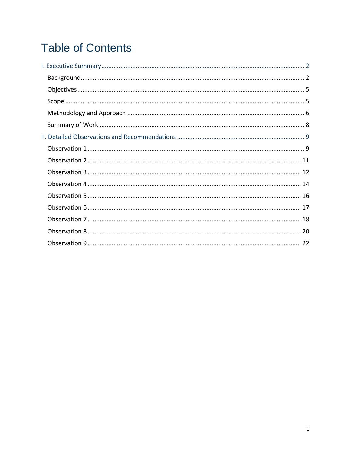# **Table of Contents**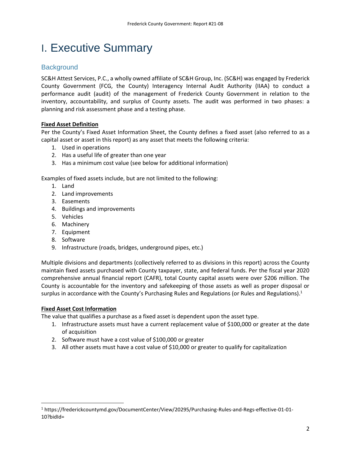# <span id="page-2-0"></span>I. Executive Summary

# <span id="page-2-1"></span>**Background**

SC&H Attest Services, P.C., a wholly owned affiliate of SC&H Group, Inc. (SC&H) was engaged by Frederick County Government (FCG, the County) Interagency Internal Audit Authority (IIAA) to conduct a performance audit (audit) of the management of Frederick County Government in relation to the inventory, accountability, and surplus of County assets. The audit was performed in two phases: a planning and risk assessment phase and a testing phase.

# **Fixed Asset Definition**

Per the County's Fixed Asset Information Sheet, the County defines a fixed asset (also referred to as a capital asset or asset in this report) as any asset that meets the following criteria:

- 1. Used in operations
- 2. Has a useful life of greater than one year
- 3. Has a minimum cost value (see below for additional information)

Examples of fixed assets include, but are not limited to the following:

- 1. Land
- 2. Land improvements
- 3. Easements
- 4. Buildings and improvements
- 5. Vehicles
- 6. Machinery
- 7. Equipment
- 8. Software
- 9. Infrastructure (roads, bridges, underground pipes, etc.)

Multiple divisions and departments (collectively referred to as divisions in this report) across the County maintain fixed assets purchased with County taxpayer, state, and federal funds. Per the fiscal year 2020 comprehensive annual financial report (CAFR), total County capital assets were over \$206 million. The County is accountable for the inventory and safekeeping of those assets as well as proper disposal or surplus in accordance with the County's Purchasing Rules and Regulations (or Rules and Regulations).<sup>1</sup>

## **Fixed Asset Cost Information**

 $\overline{a}$ 

The value that qualifies a purchase as a fixed asset is dependent upon the asset type.

- 1. Infrastructure assets must have a current replacement value of \$100,000 or greater at the date of acquisition
- 2. Software must have a cost value of \$100,000 or greater
- 3. All other assets must have a cost value of \$10,000 or greater to qualify for capitalization

<sup>1</sup> https://frederickcountymd.gov/DocumentCenter/View/20295/Purchasing-Rules-and-Regs-effective-01-01- 10?bidId=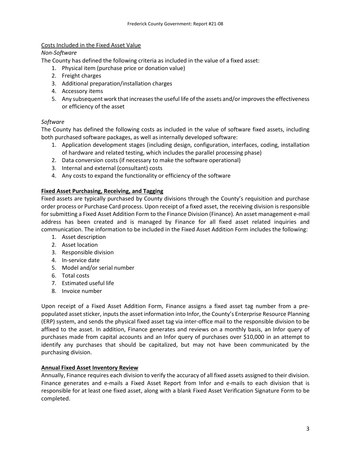# Costs Included in the Fixed Asset Value

## *Non-Software*

The County has defined the following criteria as included in the value of a fixed asset:

- 1. Physical item (purchase price or donation value)
- 2. Freight charges
- 3. Additional preparation/installation charges
- 4. Accessory items
- 5. Any subsequent work that increases the useful life of the assets and/or improves the effectiveness or efficiency of the asset

# *Software*

The County has defined the following costs as included in the value of software fixed assets, including both purchased software packages, as well as internally developed software:

- 1. Application development stages (including design, configuration, interfaces, coding, installation of hardware and related testing, which includes the parallel processing phase)
- 2. Data conversion costs (if necessary to make the software operational)
- 3. Internal and external (consultant) costs
- 4. Any costs to expand the functionality or efficiency of the software

# **Fixed Asset Purchasing, Receiving, and Tagging**

Fixed assets are typically purchased by County divisions through the County's requisition and purchase order process or Purchase Card process. Upon receipt of a fixed asset, the receiving division is responsible for submitting a Fixed Asset Addition Form to the Finance Division (Finance). An asset management e-mail address has been created and is managed by Finance for all fixed asset related inquiries and communication. The information to be included in the Fixed Asset Addition Form includes the following:

- 1. Asset description
- 2. Asset location
- 3. Responsible division
- 4. In-service date
- 5. Model and/or serial number
- 6. Total costs
- 7. Estimated useful life
- 8. Invoice number

Upon receipt of a Fixed Asset Addition Form, Finance assigns a fixed asset tag number from a prepopulated asset sticker, inputs the asset information into Infor, the County's Enterprise Resource Planning (ERP) system, and sends the physical fixed asset tag via inter-office mail to the responsible division to be affixed to the asset. In addition, Finance generates and reviews on a monthly basis, an Infor query of purchases made from capital accounts and an Infor query of purchases over \$10,000 in an attempt to identify any purchases that should be capitalized, but may not have been communicated by the purchasing division.

## **Annual Fixed Asset Inventory Review**

Annually, Finance requires each division to verify the accuracy of all fixed assets assigned to their division. Finance generates and e-mails a Fixed Asset Report from Infor and e-mails to each division that is responsible for at least one fixed asset, along with a blank Fixed Asset Verification Signature Form to be completed.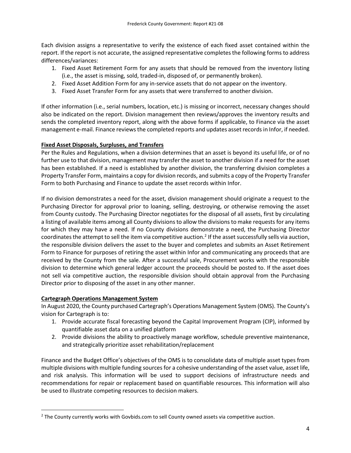Each division assigns a representative to verify the existence of each fixed asset contained within the report. If the report is not accurate, the assigned representative completesthe following forms to address differences/variances:

- 1. Fixed Asset Retirement Form for any assets that should be removed from the inventory listing (i.e., the asset is missing, sold, traded-in, disposed of, or permanently broken).
- 2. Fixed Asset Addition Form for any in-service assets that do not appear on the inventory.
- 3. Fixed Asset Transfer Form for any assets that were transferred to another division.

If other information (i.e., serial numbers, location, etc.) is missing or incorrect, necessary changes should also be indicated on the report. Division management then reviews/approves the inventory results and sends the completed inventory report, along with the above forms if applicable, to Finance via the asset management e-mail. Finance reviews the completed reports and updates asset records in Infor, if needed.

# **Fixed Asset Disposals, Surpluses, and Transfers**

Per the Rules and Regulations, when a division determines that an asset is beyond its useful life, or of no further use to that division, management may transfer the asset to another division if a need for the asset has been established. If a need is established by another division, the transferring division completes a Property Transfer Form, maintains a copy for division records, and submits a copy of the Property Transfer Form to both Purchasing and Finance to update the asset records within Infor.

If no division demonstrates a need for the asset, division management should originate a request to the Purchasing Director for approval prior to loaning, selling, destroying, or otherwise removing the asset from County custody. The Purchasing Director negotiates for the disposal of all assets, first by circulating a listing of available items among all County divisions to allow the divisions to make requests for any items for which they may have a need. If no County divisions demonstrate a need, the Purchasing Director coordinates the attempt to sell the item via competitive auction.<sup>2</sup> If the asset successfully sells via auction, the responsible division delivers the asset to the buyer and completes and submits an Asset Retirement Form to Finance for purposes of retiring the asset within Infor and communicating any proceeds that are received by the County from the sale. After a successful sale, Procurement works with the responsible division to determine which general ledger account the proceeds should be posted to. If the asset does not sell via competitive auction, the responsible division should obtain approval from the Purchasing Director prior to disposing of the asset in any other manner.

# **Cartegraph Operations Management System**

l

In August 2020, the County purchased Cartegraph's Operations Management System (OMS). The County's vision for Cartegraph is to:

- 1. Provide accurate fiscal forecasting beyond the Capital Improvement Program (CIP), informed by quantifiable asset data on a unified platform
- 2. Provide divisions the ability to proactively manage workflow, schedule preventive maintenance, and strategically prioritize asset rehabilitation/replacement

Finance and the Budget Office's objectives of the OMS is to consolidate data of multiple asset types from multiple divisions with multiple funding sources for a cohesive understanding of the asset value, asset life, and risk analysis. This information will be used to support decisions of infrastructure needs and recommendations for repair or replacement based on quantifiable resources. This information will also be used to illustrate competing resources to decision makers.

 $<sup>2</sup>$  The County currently works with Govbids.com to sell County owned assets via competitive auction.</sup>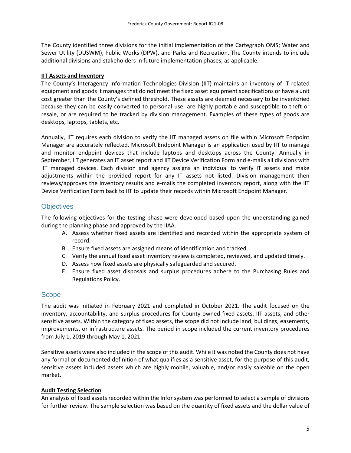The County identified three divisions for the initial implementation of the Cartegraph OMS; Water and Sewer Utility (DUSWM), Public Works (DPW), and Parks and Recreation. The County intends to include additional divisions and stakeholders in future implementation phases, as applicable.

## **IIT Assets and Inventory**

The County's Interagency Information Technologies Division (IIT) maintains an inventory of IT related equipment and goods it manages that do not meet the fixed asset equipment specifications or have a unit cost greater than the County's defined threshold. These assets are deemed necessary to be inventoried because they can be easily converted to personal use, are highly portable and susceptible to theft or resale, or are required to be tracked by division management. Examples of these types of goods are desktops, laptops, tablets, etc.

Annually, IIT requires each division to verify the IIT managed assets on file within Microsoft Endpoint Manager are accurately reflected. Microsoft Endpoint Manager is an application used by IIT to manage and monitor endpoint devices that include laptops and desktops across the County. Annually in September, IIT generates an IT asset report and IIT Device Verification Form and e-mails all divisions with IIT managed devices. Each division and agency assigns an individual to verify IT assets and make adjustments within the provided report for any IT assets not listed. Division management then reviews/approves the inventory results and e-mails the completed inventory report, along with the IIT Device Verification Form back to IIT to update their records within Microsoft Endpoint Manager.

# <span id="page-5-0"></span>**Objectives**

The following objectives for the testing phase were developed based upon the understanding gained during the planning phase and approved by the IIAA.

- A. Assess whether fixed assets are identified and recorded within the appropriate system of record.
- B. Ensure fixed assets are assigned means of identification and tracked.
- C. Verify the annual fixed asset inventory review is completed, reviewed, and updated timely.
- D. Assess how fixed assets are physically safeguarded and secured.
- E. Ensure fixed asset disposals and surplus procedures adhere to the Purchasing Rules and Regulations Policy.

# <span id="page-5-1"></span>**Scope**

The audit was initiated in February 2021 and completed in October 2021. The audit focused on the inventory, accountability, and surplus procedures for County owned fixed assets, IIT assets, and other sensitive assets. Within the category of fixed assets, the scope did not include land, buildings, easements, improvements, or infrastructure assets. The period in scope included the current inventory procedures from July 1, 2019 through May 1, 2021.

Sensitive assets were also included in the scope of this audit. While it was noted the County does not have any formal or documented definition of what qualifies as a sensitive asset, for the purpose of this audit, sensitive assets included assets which are highly mobile, valuable, and/or easily saleable on the open market.

## **Audit Testing Selection**

An analysis of fixed assets recorded within the Infor system was performed to select a sample of divisions for further review. The sample selection was based on the quantity of fixed assets and the dollar value of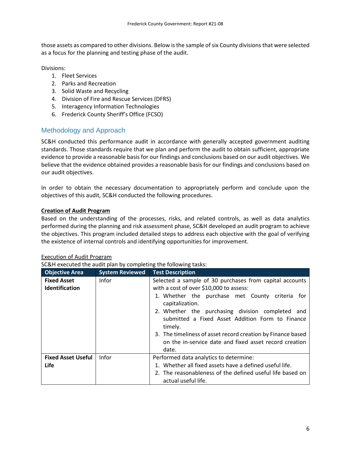those assets as compared to other divisions. Below is the sample of six County divisions that were selected as a focus for the planning and testing phase of the audit.

Divisions:

- 1. Fleet Services
- 2. Parks and Recreation
- 3. Solid Waste and Recycling
- 4. Division of Fire and Rescue Services (DFRS)
- 5. Interagency Information Technologies
- 6. Frederick County Sheriff's Office (FCSO)

# <span id="page-6-0"></span>Methodology and Approach

SC&H conducted this performance audit in accordance with generally accepted government auditing standards. Those standards require that we plan and perform the audit to obtain sufficient, appropriate evidence to provide a reasonable basis for our findings and conclusions based on our audit objectives. We believe that the evidence obtained provides a reasonable basis for our findings and conclusions based on our audit objectives.

In order to obtain the necessary documentation to appropriately perform and conclude upon the objectives of this audit, SC&H conducted the following procedures.

# **Creation of Audit Program**

Based on the understanding of the processes, risks, and related controls, as well as data analytics performed during the planning and risk assessment phase, SC&H developed an audit program to achieve the objectives. This program included detailed steps to address each objective with the goal of verifying the existence of internal controls and identifying opportunities for improvement.

## Execution of Audit Program

SC&H executed the audit plan by completing the following tasks:

| <b>Objective Area</b>     | <b>System Reviewed</b> | <b>Test Description</b>                                                                                                        |  |
|---------------------------|------------------------|--------------------------------------------------------------------------------------------------------------------------------|--|
| <b>Fixed Asset</b>        | <b>Infor</b>           | Selected a sample of 30 purchases from capital accounts                                                                        |  |
| Identification            |                        | with a cost of over \$10,000 to assess:                                                                                        |  |
|                           |                        | 1. Whether the purchase met County criteria for<br>capitalization.                                                             |  |
|                           |                        | 2. Whether the purchasing division completed and<br>submitted a Fixed Asset Addition Form to Finance<br>timely.                |  |
|                           |                        | 3. The timeliness of asset record creation by Finance based<br>on the in-service date and fixed asset record creation<br>date. |  |
| <b>Fixed Asset Useful</b> | Infor                  | Performed data analytics to determine:                                                                                         |  |
| Life                      |                        | 1. Whether all fixed assets have a defined useful life.                                                                        |  |
|                           |                        | 2. The reasonableness of the defined useful life based on<br>actual useful life.                                               |  |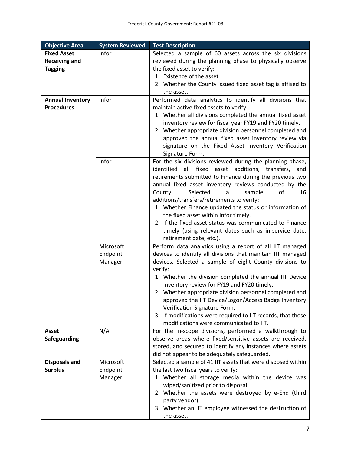| <b>Objective Area</b>   | <b>System Reviewed</b> | <b>Test Description</b>                                                                               |
|-------------------------|------------------------|-------------------------------------------------------------------------------------------------------|
| <b>Fixed Asset</b>      | Infor                  | Selected a sample of 60 assets across the six divisions                                               |
| <b>Receiving and</b>    |                        | reviewed during the planning phase to physically observe                                              |
| <b>Tagging</b>          |                        | the fixed asset to verify:                                                                            |
|                         |                        | 1. Existence of the asset                                                                             |
|                         |                        | 2. Whether the County issued fixed asset tag is affixed to                                            |
|                         |                        | the asset.                                                                                            |
| <b>Annual Inventory</b> | Infor                  | Performed data analytics to identify all divisions that                                               |
| <b>Procedures</b>       |                        | maintain active fixed assets to verify:                                                               |
|                         |                        | 1. Whether all divisions completed the annual fixed asset                                             |
|                         |                        | inventory review for fiscal year FY19 and FY20 timely.                                                |
|                         |                        | 2. Whether appropriate division personnel completed and                                               |
|                         |                        | approved the annual fixed asset inventory review via                                                  |
|                         |                        | signature on the Fixed Asset Inventory Verification                                                   |
|                         |                        | Signature Form.                                                                                       |
|                         | Infor                  | For the six divisions reviewed during the planning phase,                                             |
|                         |                        | identified all fixed asset additions, transfers, and                                                  |
|                         |                        | retirements submitted to Finance during the previous two                                              |
|                         |                        | annual fixed asset inventory reviews conducted by the                                                 |
|                         |                        | Selected<br>County.<br>sample<br>of<br>a<br>16                                                        |
|                         |                        | additions/transfers/retirements to verify:                                                            |
|                         |                        | 1. Whether Finance updated the status or information of                                               |
|                         |                        | the fixed asset within Infor timely.                                                                  |
|                         |                        | 2. If the fixed asset status was communicated to Finance                                              |
|                         |                        | timely (using relevant dates such as in-service date,                                                 |
|                         |                        | retirement date, etc.).                                                                               |
|                         | Microsoft              | Perform data analytics using a report of all IIT managed                                              |
|                         | Endpoint               | devices to identify all divisions that maintain IIT managed                                           |
|                         | Manager                | devices. Selected a sample of eight County divisions to                                               |
|                         |                        | verify:                                                                                               |
|                         |                        | 1. Whether the division completed the annual IIT Device                                               |
|                         |                        | Inventory review for FY19 and FY20 timely.<br>2. Whether appropriate division personnel completed and |
|                         |                        | approved the IIT Device/Logon/Access Badge Inventory                                                  |
|                         |                        | Verification Signature Form.                                                                          |
|                         |                        | 3. If modifications were required to IIT records, that those                                          |
|                         |                        | modifications were communicated to IIT.                                                               |
| <b>Asset</b>            | N/A                    | For the in-scope divisions, performed a walkthrough to                                                |
| <b>Safeguarding</b>     |                        | observe areas where fixed/sensitive assets are received,                                              |
|                         |                        | stored, and secured to identify any instances where assets                                            |
|                         |                        | did not appear to be adequately safeguarded.                                                          |
| <b>Disposals and</b>    | Microsoft              | Selected a sample of 41 IIT assets that were disposed within                                          |
| <b>Surplus</b>          | Endpoint               | the last two fiscal years to verify:                                                                  |
|                         | Manager                | 1. Whether all storage media within the device was                                                    |
|                         |                        | wiped/sanitized prior to disposal.                                                                    |
|                         |                        | 2. Whether the assets were destroyed by e-End (third                                                  |
|                         |                        | party vendor).                                                                                        |
|                         |                        | 3. Whether an IIT employee witnessed the destruction of                                               |
|                         |                        | the asset.                                                                                            |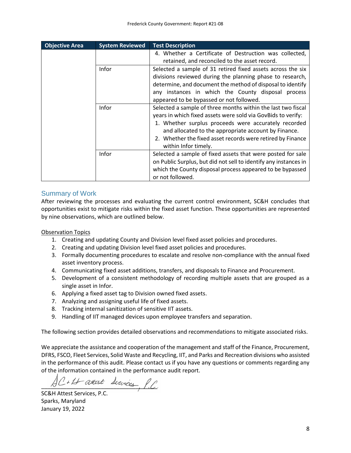| <b>Objective Area</b> | <b>System Reviewed</b> | <b>Test Description</b>                                          |
|-----------------------|------------------------|------------------------------------------------------------------|
|                       |                        | 4. Whether a Certificate of Destruction was collected,           |
|                       |                        | retained, and reconciled to the asset record.                    |
|                       | Infor                  | Selected a sample of 31 retired fixed assets across the six      |
|                       |                        | divisions reviewed during the planning phase to research,        |
|                       |                        | determine, and document the method of disposal to identify       |
|                       |                        | any instances in which the County disposal process               |
|                       |                        | appeared to be bypassed or not followed.                         |
|                       | Infor                  | Selected a sample of three months within the last two fiscal     |
|                       |                        | years in which fixed assets were sold via GovBids to verify:     |
|                       |                        | 1. Whether surplus proceeds were accurately recorded             |
|                       |                        | and allocated to the appropriate account by Finance.             |
|                       |                        | 2. Whether the fixed asset records were retired by Finance       |
|                       |                        | within Infor timely.                                             |
|                       | <b>Infor</b>           | Selected a sample of fixed assets that were posted for sale      |
|                       |                        | on Public Surplus, but did not sell to identify any instances in |
|                       |                        | which the County disposal process appeared to be bypassed        |
|                       |                        | or not followed.                                                 |

# <span id="page-8-0"></span>Summary of Work

After reviewing the processes and evaluating the current control environment, SC&H concludes that opportunities exist to mitigate risks within the fixed asset function. These opportunities are represented by nine observations, which are outlined below.

Observation Topics

- 1. Creating and updating County and Division level fixed asset policies and procedures.
- 2. Creating and updating Division level fixed asset policies and procedures.
- 3. Formally documenting procedures to escalate and resolve non-compliance with the annual fixed asset inventory process.
- 4. Communicating fixed asset additions, transfers, and disposals to Finance and Procurement.
- 5. Development of a consistent methodology of recording multiple assets that are grouped as a single asset in Infor.
- 6. Applying a fixed asset tag to Division owned fixed assets.
- 7. Analyzing and assigning useful life of fixed assets.
- 8. Tracking internal sanitization of sensitive IIT assets.
- 9. Handling of IIT managed devices upon employee transfers and separation.

The following section provides detailed observations and recommendations to mitigate associated risks.

We appreciate the assistance and cooperation of the management and staff of the Finance, Procurement, DFRS, FSCO, Fleet Services, Solid Waste and Recycling, IIT, and Parks and Recreation divisions who assisted in the performance of this audit. Please contact us if you have any questions or comments regarding any of the information contained in the performance audit report.

AC+11 attest Services, P.C.

SC&H Attest Services, P.C. Sparks, Maryland January 19, 2022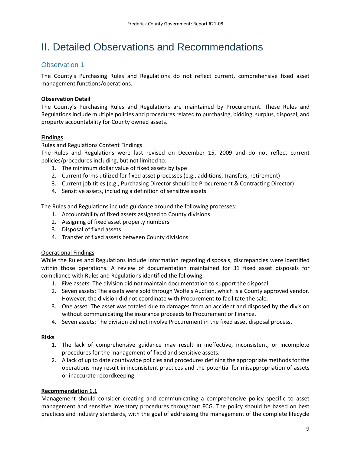# <span id="page-9-0"></span>II. Detailed Observations and Recommendations

# <span id="page-9-1"></span>Observation 1

The County's Purchasing Rules and Regulations do not reflect current, comprehensive fixed asset management functions/operations.

# **Observation Detail**

The County's Purchasing Rules and Regulations are maintained by Procurement. These Rules and Regulations include multiple policies and procedures related to purchasing, bidding, surplus, disposal, and property accountability for County owned assets.

# **Findings**

# Rules and Regulations Content Findings

The Rules and Regulations were last revised on December 15, 2009 and do not reflect current policies/procedures including, but not limited to:

- 1. The minimum dollar value of fixed assets by type
- 2. Current forms utilized for fixed asset processes (e.g., additions, transfers, retirement)
- 3. Current job titles (e.g., Purchasing Director should be Procurement & Contracting Director)
- 4. Sensitive assets, including a definition of sensitive assets

The Rules and Regulations include guidance around the following processes:

- 1. Accountability of fixed assets assigned to County divisions
- 2. Assigning of fixed asset property numbers
- 3. Disposal of fixed assets
- 4. Transfer of fixed assets between County divisions

## Operational Findings

While the Rules and Regulations include information regarding disposals, discrepancies were identified within those operations. A review of documentation maintained for 31 fixed asset disposals for compliance with Rules and Regulations identified the following:

- 1. Five assets: The division did not maintain documentation to support the disposal.
- 2. Seven assets: The assets were sold through Wolfe's Auction, which is a County approved vendor. However, the division did not coordinate with Procurement to facilitate the sale.
- 3. One asset: The asset was totaled due to damages from an accident and disposed by the division without communicating the insurance proceeds to Procurement or Finance.
- 4. Seven assets: The division did not involve Procurement in the fixed asset disposal process.

## **Risks**

- 1. The lack of comprehensive guidance may result in ineffective, inconsistent, or incomplete procedures for the management of fixed and sensitive assets.
- 2. A lack of up to date countywide policies and procedures defining the appropriate methods for the operations may result in inconsistent practices and the potential for misappropriation of assets or inaccurate recordkeeping.

## **Recommendation 1.1**

Management should consider creating and communicating a comprehensive policy specific to asset management and sensitive inventory procedures throughout FCG. The policy should be based on best practices and industry standards, with the goal of addressing the management of the complete lifecycle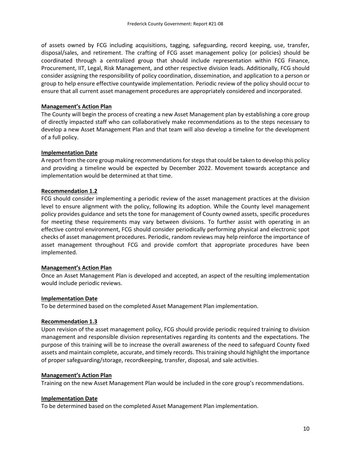of assets owned by FCG including acquisitions, tagging, safeguarding, record keeping, use, transfer, disposal/sales, and retirement. The crafting of FCG asset management policy (or policies) should be coordinated through a centralized group that should include representation within FCG Finance, Procurement, IIT, Legal, Risk Management, and other respective division leads. Additionally, FCG should consider assigning the responsibility of policy coordination, dissemination, and application to a person or group to help ensure effective countywide implementation. Periodic review of the policy should occur to ensure that all current asset management procedures are appropriately considered and incorporated.

#### **Management's Action Plan**

The County will begin the process of creating a new Asset Management plan by establishing a core group of directly impacted staff who can collaboratively make recommendations as to the steps necessary to develop a new Asset Management Plan and that team will also develop a timeline for the development of a full policy.

## **Implementation Date**

A report from the core group making recommendations for stepsthat could be taken to develop this policy and providing a timeline would be expected by December 2022. Movement towards acceptance and implementation would be determined at that time.

#### **Recommendation 1.2**

FCG should consider implementing a periodic review of the asset management practices at the division level to ensure alignment with the policy, following its adoption. While the County level management policy provides guidance and sets the tone for management of County owned assets, specific procedures for meeting these requirements may vary between divisions. To further assist with operating in an effective control environment, FCG should consider periodically performing physical and electronic spot checks of asset management procedures. Periodic, random reviews may help reinforce the importance of asset management throughout FCG and provide comfort that appropriate procedures have been implemented.

#### **Management's Action Plan**

Once an Asset Management Plan is developed and accepted, an aspect of the resulting implementation would include periodic reviews.

#### **Implementation Date**

To be determined based on the completed Asset Management Plan implementation.

#### **Recommendation 1.3**

Upon revision of the asset management policy, FCG should provide periodic required training to division management and responsible division representatives regarding its contents and the expectations. The purpose of this training will be to increase the overall awareness of the need to safeguard County fixed assets and maintain complete, accurate, and timely records. This training should highlight the importance of proper safeguarding/storage, recordkeeping, transfer, disposal, and sale activities.

#### **Management's Action Plan**

Training on the new Asset Management Plan would be included in the core group's recommendations.

#### **Implementation Date**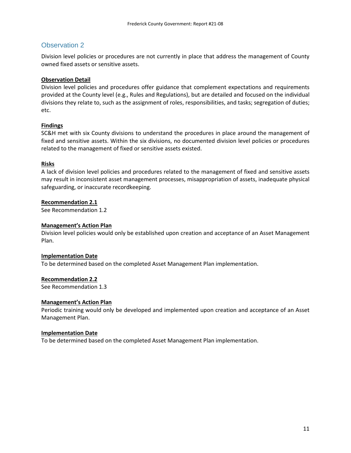<span id="page-11-0"></span>Division level policies or procedures are not currently in place that address the management of County owned fixed assets or sensitive assets.

## **Observation Detail**

Division level policies and procedures offer guidance that complement expectations and requirements provided at the County level (e.g., Rules and Regulations), but are detailed and focused on the individual divisions they relate to, such as the assignment of roles, responsibilities, and tasks; segregation of duties; etc.

## **Findings**

SC&H met with six County divisions to understand the procedures in place around the management of fixed and sensitive assets. Within the six divisions, no documented division level policies or procedures related to the management of fixed or sensitive assets existed.

#### **Risks**

A lack of division level policies and procedures related to the management of fixed and sensitive assets may result in inconsistent asset management processes, misappropriation of assets, inadequate physical safeguarding, or inaccurate recordkeeping.

#### **Recommendation 2.1**

See Recommendation 1.2

#### **Management's Action Plan**

Division level policies would only be established upon creation and acceptance of an Asset Management Plan.

## **Implementation Date**

To be determined based on the completed Asset Management Plan implementation.

## **Recommendation 2.2**

See Recommendation 1.3

#### **Management's Action Plan**

Periodic training would only be developed and implemented upon creation and acceptance of an Asset Management Plan.

#### **Implementation Date**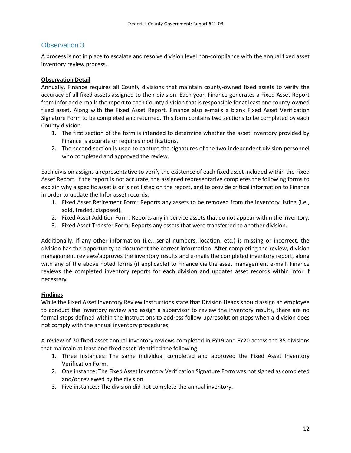<span id="page-12-0"></span>A process is not in place to escalate and resolve division level non-compliance with the annual fixed asset inventory review process.

# **Observation Detail**

Annually, Finance requires all County divisions that maintain county-owned fixed assets to verify the accuracy of all fixed assets assigned to their division. Each year, Finance generates a Fixed Asset Report from Infor and e-mails the report to each County division that is responsible for at least one county-owned fixed asset. Along with the Fixed Asset Report, Finance also e-mails a blank Fixed Asset Verification Signature Form to be completed and returned. This form contains two sections to be completed by each County division.

- 1. The first section of the form is intended to determine whether the asset inventory provided by Finance is accurate or requires modifications.
- 2. The second section is used to capture the signatures of the two independent division personnel who completed and approved the review.

Each division assigns a representative to verify the existence of each fixed asset included within the Fixed Asset Report. If the report is not accurate, the assigned representative completes the following forms to explain why a specific asset is or is not listed on the report, and to provide critical information to Finance in order to update the Infor asset records:

- 1. Fixed Asset Retirement Form: Reports any assets to be removed from the inventory listing (i.e., sold, traded, disposed).
- 2. Fixed Asset Addition Form: Reports any in-service assets that do not appear within the inventory.
- 3. Fixed Asset Transfer Form: Reports any assets that were transferred to another division.

Additionally, if any other information (i.e., serial numbers, location, etc.) is missing or incorrect, the division has the opportunity to document the correct information. After completing the review, division management reviews/approves the inventory results and e-mails the completed inventory report, along with any of the above noted forms (if applicable) to Finance via the asset management e-mail. Finance reviews the completed inventory reports for each division and updates asset records within Infor if necessary.

# **Findings**

While the Fixed Asset Inventory Review Instructions state that Division Heads should assign an employee to conduct the inventory review and assign a supervisor to review the inventory results, there are no formal steps defined within the instructions to address follow-up/resolution steps when a division does not comply with the annual inventory procedures.

A review of 70 fixed asset annual inventory reviews completed in FY19 and FY20 across the 35 divisions that maintain at least one fixed asset identified the following:

- 1. Three instances: The same individual completed and approved the Fixed Asset Inventory Verification Form.
- 2. One instance: The Fixed Asset Inventory Verification Signature Form was not signed as completed and/or reviewed by the division.
- 3. Five instances: The division did not complete the annual inventory.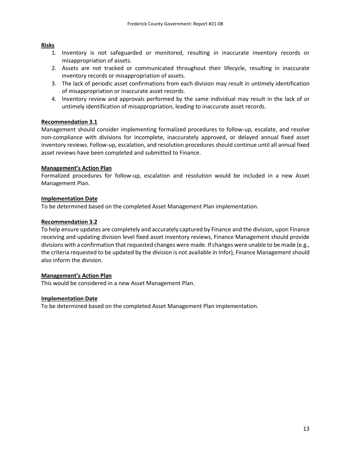# **Risks**

- 1. Inventory is not safeguarded or monitored, resulting in inaccurate inventory records or misappropriation of assets.
- 2. Assets are not tracked or communicated throughout their lifecycle, resulting in inaccurate inventory records or misappropriation of assets.
- 3. The lack of periodic asset confirmations from each division may result in untimely identification of misappropriation or inaccurate asset records.
- 4. Inventory review and approvals performed by the same individual may result in the lack of or untimely identification of misappropriation, leading to inaccurate asset records.

# **Recommendation 3.1**

Management should consider implementing formalized procedures to follow-up, escalate, and resolve non-compliance with divisions for incomplete, inaccurately approved, or delayed annual fixed asset inventory reviews. Follow-up, escalation, and resolution procedures should continue until all annual fixed asset reviews have been completed and submitted to Finance.

# **Management's Action Plan**

Formalized procedures for follow-up, escalation and resolution would be included in a new Asset Management Plan.

# **Implementation Date**

To be determined based on the completed Asset Management Plan implementation.

# **Recommendation 3.2**

To help ensure updates are completely and accurately captured by Finance and the division, upon Finance receiving and updating division level fixed asset inventory reviews, Finance Management should provide divisions with a confirmation that requested changes were made. If changes were unable to be made (e.g., the criteria requested to be updated by the division is not available in Infor), Finance Management should also inform the division.

## **Management's Action Plan**

This would be considered in a new Asset Management Plan.

## **Implementation Date**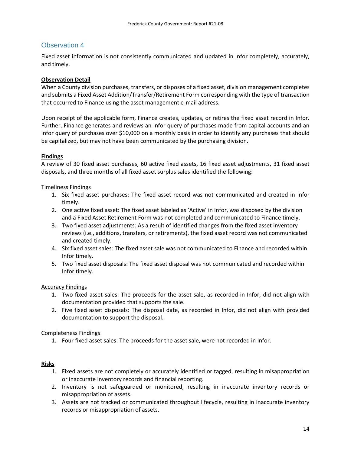<span id="page-14-0"></span>Fixed asset information is not consistently communicated and updated in Infor completely, accurately, and timely.

# **Observation Detail**

When a County division purchases, transfers, or disposes of a fixed asset, division management completes and submits a Fixed Asset Addition/Transfer/Retirement Form corresponding with the type of transaction that occurred to Finance using the asset management e-mail address.

Upon receipt of the applicable form, Finance creates, updates, or retires the fixed asset record in Infor. Further, Finance generates and reviews an Infor query of purchases made from capital accounts and an Infor query of purchases over \$10,000 on a monthly basis in order to identify any purchases that should be capitalized, but may not have been communicated by the purchasing division.

# **Findings**

A review of 30 fixed asset purchases, 60 active fixed assets, 16 fixed asset adjustments, 31 fixed asset disposals, and three months of all fixed asset surplus sales identified the following:

# Timeliness Findings

- 1. Six fixed asset purchases: The fixed asset record was not communicated and created in Infor timely.
- 2. One active fixed asset: The fixed asset labeled as 'Active' in Infor, was disposed by the division and a Fixed Asset Retirement Form was not completed and communicated to Finance timely.
- 3. Two fixed asset adjustments: As a result of identified changes from the fixed asset inventory reviews (i.e., additions, transfers, or retirements), the fixed asset record was not communicated and created timely.
- 4. Six fixed asset sales: The fixed asset sale was not communicated to Finance and recorded within Infor timely.
- 5. Two fixed asset disposals: The fixed asset disposal was not communicated and recorded within Infor timely.

## Accuracy Findings

- 1. Two fixed asset sales: The proceeds for the asset sale, as recorded in Infor, did not align with documentation provided that supports the sale.
- 2. Five fixed asset disposals: The disposal date, as recorded in Infor, did not align with provided documentation to support the disposal.

## Completeness Findings

1. Four fixed asset sales: The proceeds for the asset sale, were not recorded in Infor.

## **Risks**

- 1. Fixed assets are not completely or accurately identified or tagged, resulting in misappropriation or inaccurate inventory records and financial reporting.
- 2. Inventory is not safeguarded or monitored, resulting in inaccurate inventory records or misappropriation of assets.
- 3. Assets are not tracked or communicated throughout lifecycle, resulting in inaccurate inventory records or misappropriation of assets.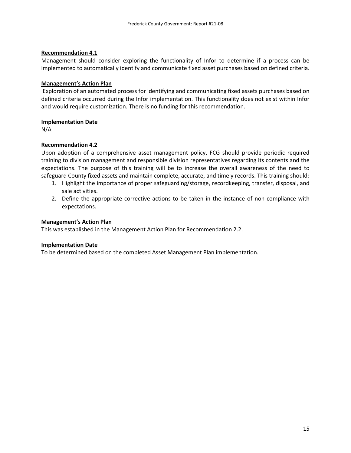#### **Recommendation 4.1**

Management should consider exploring the functionality of Infor to determine if a process can be implemented to automatically identify and communicate fixed asset purchases based on defined criteria.

#### **Management's Action Plan**

Exploration of an automated process for identifying and communicating fixed assets purchases based on defined criteria occurred during the Infor implementation. This functionality does not exist within Infor and would require customization. There is no funding for this recommendation.

#### **Implementation Date**

N/A

## **Recommendation 4.2**

Upon adoption of a comprehensive asset management policy, FCG should provide periodic required training to division management and responsible division representatives regarding its contents and the expectations. The purpose of this training will be to increase the overall awareness of the need to safeguard County fixed assets and maintain complete, accurate, and timely records. This training should:

- 1. Highlight the importance of proper safeguarding/storage, recordkeeping, transfer, disposal, and sale activities.
- 2. Define the appropriate corrective actions to be taken in the instance of non-compliance with expectations.

#### **Management's Action Plan**

This was established in the Management Action Plan for Recommendation 2.2.

#### **Implementation Date**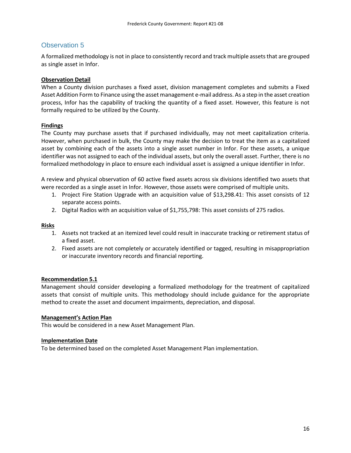<span id="page-16-0"></span>A formalized methodology is not in place to consistently record and track multiple assets that are grouped as single asset in Infor.

## **Observation Detail**

When a County division purchases a fixed asset, division management completes and submits a Fixed Asset Addition Form to Finance using the asset management e-mail address. As a step in the asset creation process, Infor has the capability of tracking the quantity of a fixed asset. However, this feature is not formally required to be utilized by the County.

# **Findings**

The County may purchase assets that if purchased individually, may not meet capitalization criteria. However, when purchased in bulk, the County may make the decision to treat the item as a capitalized asset by combining each of the assets into a single asset number in Infor. For these assets, a unique identifier was not assigned to each of the individual assets, but only the overall asset. Further, there is no formalized methodology in place to ensure each individual asset is assigned a unique identifier in Infor.

A review and physical observation of 60 active fixed assets across six divisions identified two assets that were recorded as a single asset in Infor. However, those assets were comprised of multiple units.

- 1. Project Fire Station Upgrade with an acquisition value of \$13,298.41: This asset consists of 12 separate access points.
- 2. Digital Radios with an acquisition value of \$1,755,798: This asset consists of 275 radios.

#### **Risks**

- 1. Assets not tracked at an itemized level could result in inaccurate tracking or retirement status of a fixed asset.
- 2. Fixed assets are not completely or accurately identified or tagged, resulting in misappropriation or inaccurate inventory records and financial reporting.

## **Recommendation 5.1**

Management should consider developing a formalized methodology for the treatment of capitalized assets that consist of multiple units. This methodology should include guidance for the appropriate method to create the asset and document impairments, depreciation, and disposal.

## **Management's Action Plan**

This would be considered in a new Asset Management Plan.

## **Implementation Date**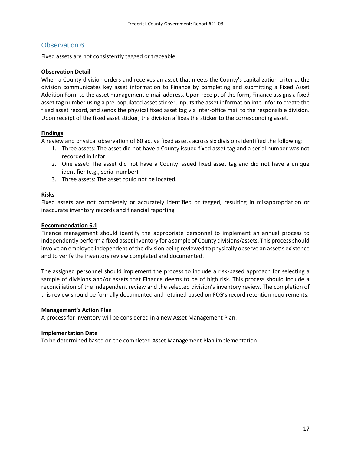<span id="page-17-0"></span>Fixed assets are not consistently tagged or traceable.

## **Observation Detail**

When a County division orders and receives an asset that meets the County's capitalization criteria, the division communicates key asset information to Finance by completing and submitting a Fixed Asset Addition Form to the asset management e-mail address. Upon receipt of the form, Finance assigns a fixed asset tag number using a pre-populated asset sticker, inputs the asset information into Infor to create the fixed asset record, and sends the physical fixed asset tag via inter-office mail to the responsible division. Upon receipt of the fixed asset sticker, the division affixes the sticker to the corresponding asset.

#### **Findings**

A review and physical observation of 60 active fixed assets across six divisions identified the following:

- 1. Three assets: The asset did not have a County issued fixed asset tag and a serial number was not recorded in Infor.
- 2. One asset: The asset did not have a County issued fixed asset tag and did not have a unique identifier (e.g., serial number).
- 3. Three assets: The asset could not be located.

#### **Risks**

Fixed assets are not completely or accurately identified or tagged, resulting in misappropriation or inaccurate inventory records and financial reporting.

#### **Recommendation 6.1**

Finance management should identify the appropriate personnel to implement an annual process to independently perform a fixed asset inventory for a sample of County divisions/assets. This process should involve an employee independent of the division being reviewed to physically observe an asset's existence and to verify the inventory review completed and documented.

The assigned personnel should implement the process to include a risk-based approach for selecting a sample of divisions and/or assets that Finance deems to be of high risk. This process should include a reconciliation of the independent review and the selected division's inventory review. The completion of this review should be formally documented and retained based on FCG's record retention requirements.

#### **Management's Action Plan**

A process for inventory will be considered in a new Asset Management Plan.

#### **Implementation Date**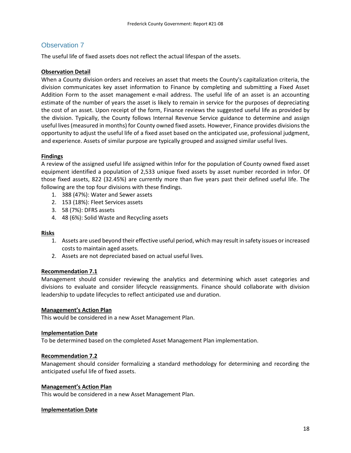<span id="page-18-0"></span>The useful life of fixed assets does not reflect the actual lifespan of the assets.

#### **Observation Detail**

When a County division orders and receives an asset that meets the County's capitalization criteria, the division communicates key asset information to Finance by completing and submitting a Fixed Asset Addition Form to the asset management e-mail address. The useful life of an asset is an accounting estimate of the number of years the asset is likely to remain in service for the purposes of depreciating the cost of an asset. Upon receipt of the form, Finance reviews the suggested useful life as provided by the division. Typically, the County follows Internal Revenue Service guidance to determine and assign useful lives (measured in months) for County owned fixed assets. However, Finance provides divisions the opportunity to adjust the useful life of a fixed asset based on the anticipated use, professional judgment, and experience. Assets of similar purpose are typically grouped and assigned similar useful lives.

## **Findings**

A review of the assigned useful life assigned within Infor for the population of County owned fixed asset equipment identified a population of 2,533 unique fixed assets by asset number recorded in Infor. Of those fixed assets, 822 (32.45%) are currently more than five years past their defined useful life. The following are the top four divisions with these findings.

- 1. 388 (47%): Water and Sewer assets
- 2. 153 (18%): Fleet Services assets
- 3. 58 (7%): DFRS assets
- 4. 48 (6%): Solid Waste and Recycling assets

#### **Risks**

- 1. Assets are used beyond their effective useful period, which may result in safety issues or increased costs to maintain aged assets.
- 2. Assets are not depreciated based on actual useful lives.

#### **Recommendation 7.1**

Management should consider reviewing the analytics and determining which asset categories and divisions to evaluate and consider lifecycle reassignments. Finance should collaborate with division leadership to update lifecycles to reflect anticipated use and duration.

#### **Management's Action Plan**

This would be considered in a new Asset Management Plan.

#### **Implementation Date**

To be determined based on the completed Asset Management Plan implementation.

#### **Recommendation 7.2**

Management should consider formalizing a standard methodology for determining and recording the anticipated useful life of fixed assets.

#### **Management's Action Plan**

This would be considered in a new Asset Management Plan.

#### **Implementation Date**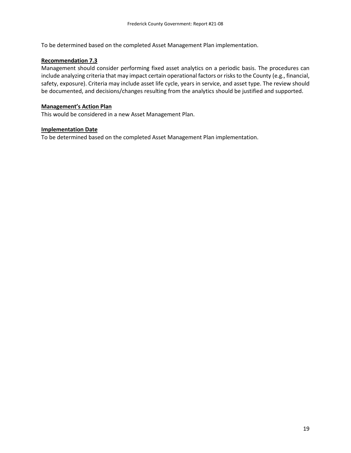To be determined based on the completed Asset Management Plan implementation.

#### **Recommendation 7.3**

Management should consider performing fixed asset analytics on a periodic basis. The procedures can include analyzing criteria that may impact certain operational factors or risks to the County (e.g., financial, safety, exposure). Criteria may include asset life cycle, years in service, and asset type. The review should be documented, and decisions/changes resulting from the analytics should be justified and supported.

#### **Management's Action Plan**

This would be considered in a new Asset Management Plan.

#### **Implementation Date**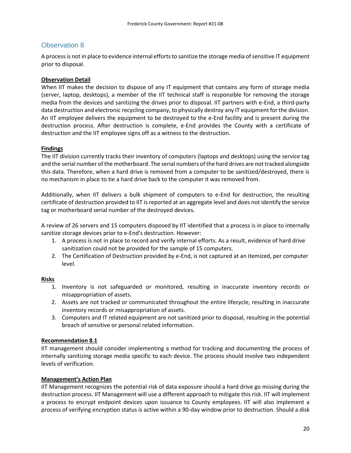<span id="page-20-0"></span>A process is not in place to evidence internal efforts to sanitize the storage media of sensitive IT equipment prior to disposal.

# **Observation Detail**

When IIT makes the decision to dispose of any IT equipment that contains any form of storage media (server, laptop, desktops), a member of the IIT technical staff is responsible for removing the storage media from the devices and sanitizing the drives prior to disposal. IIT partners with e-End, a third-party data destruction and electronic recycling company, to physically destroy any IT equipment for the division. An IIT employee delivers the equipment to be destroyed to the e-End facility and is present during the destruction process. After destruction is complete, e-End provides the County with a certificate of destruction and the IIT employee signs off as a witness to the destruction.

## **Findings**

The IIT division currently tracks their inventory of computers (laptops and desktops) using the service tag and the serial number of the motherboard. The serial numbers of the hard drives are not tracked alongside this data. Therefore, when a hard drive is removed from a computer to be sanitized/destroyed, there is no mechanism in place to tie a hard drive back to the computer it was removed from.

Additionally, when IIT delivers a bulk shipment of computers to e-End for destruction, the resulting certificate of destruction provided to IIT is reported at an aggregate level and does not identify the service tag or motherboard serial number of the destroyed devices.

A review of 26 servers and 15 computers disposed by IIT identified that a process is in place to internally sanitize storage devices prior to e-End's destruction. However:

- 1. A process is not in place to record and verify internal efforts. As a result, evidence of hard drive sanitization could not be provided for the sample of 15 computers.
- 2. The Certification of Destruction provided by e-End, is not captured at an itemized, per computer level.

## **Risks**

- 1. Inventory is not safeguarded or monitored, resulting in inaccurate inventory records or misappropriation of assets.
- 2. Assets are not tracked or communicated throughout the entire lifecycle, resulting in inaccurate inventory records or misappropriation of assets.
- 3. Computers and IT related equipment are not sanitized prior to disposal, resulting in the potential breach of sensitive or personal related information.

## **Recommendation 8.1**

IIT management should consider implementing a method for tracking and documenting the process of internally sanitizing storage media specific to each device. The process should involve two independent levels of verification.

## **Management's Action Plan**

IIT Management recognizes the potential risk of data exposure should a hard drive go missing during the destruction process. IIT Management will use a different approach to mitigate this risk. IIT will implement a process to encrypt endpoint devices upon issuance to County employees. IIT will also implement a process of verifying encryption status is active within a 90-day window prior to destruction. Should a disk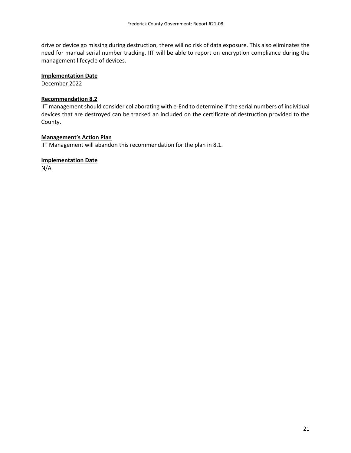drive or device go missing during destruction, there will no risk of data exposure. This also eliminates the need for manual serial number tracking. IIT will be able to report on encryption compliance during the management lifecycle of devices.

## **Implementation Date**

December 2022

## **Recommendation 8.2**

IIT management should consider collaborating with e-End to determine if the serial numbers of individual devices that are destroyed can be tracked an included on the certificate of destruction provided to the County.

#### **Management's Action Plan**

IIT Management will abandon this recommendation for the plan in 8.1.

## **Implementation Date**

N/A